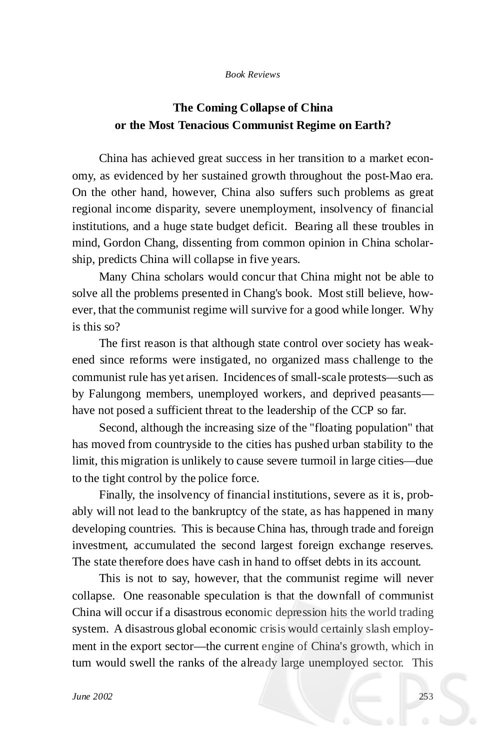## *Book Reviews*

## **The Coming Collapse of China or the Most Tenacious Communist Regime on Earth?**

China has achieved great success in her transition to a market economy, as evidenced by her sustained growth throughout the post-Mao era. On the other hand, however, China also suffers such problems as great regional income disparity, severe unemployment, insolvency of financial institutions, and a huge state budget deficit. Bearing all these troubles in mind, Gordon Chang, dissenting from common opinion in China scholarship, predicts China will collapse in five years.

Many China scholars would concur that China might not be able to solve all the problems presented in Chang's book. Most still believe, however, that the communist regime will survive for a good while longer. Why is this so?

The first reason is that although state control over society has weakened since reforms were instigated, no organized mass challenge to the communist rule has yet arisen. Incidences of small-scale protests— such as by Falungong members, unemployed workers, and deprived peasants have not posed a sufficient threat to the leadership of the CCP so far.

Second, although the increasing size of the "floating population" that has moved from countryside to the cities has pushed urban stability to the limit, this migration is unlikely to cause severe turmoil in large cities— due to the tight control by the police force.

Finally, the insolvency of financial institutions, severe as it is, probably will not lead to the bankruptcy of the state, as has happened in many developing countries. This is because China has, through trade and foreign investment, accumulated the second largest foreign exchange reserves. The state therefore does have cash in hand to offset debts in its account.

This is not to say, however, that the communist regime will never collapse. One reasonable speculation is that the downfall of communist China will occur if a disastrous economic depression hits the world trading system. A disastrous global economic crisis would certainly slash employment in the export sector— the current engine of China's growth, which in turn would swell the ranks of the already large unemployed sector. This